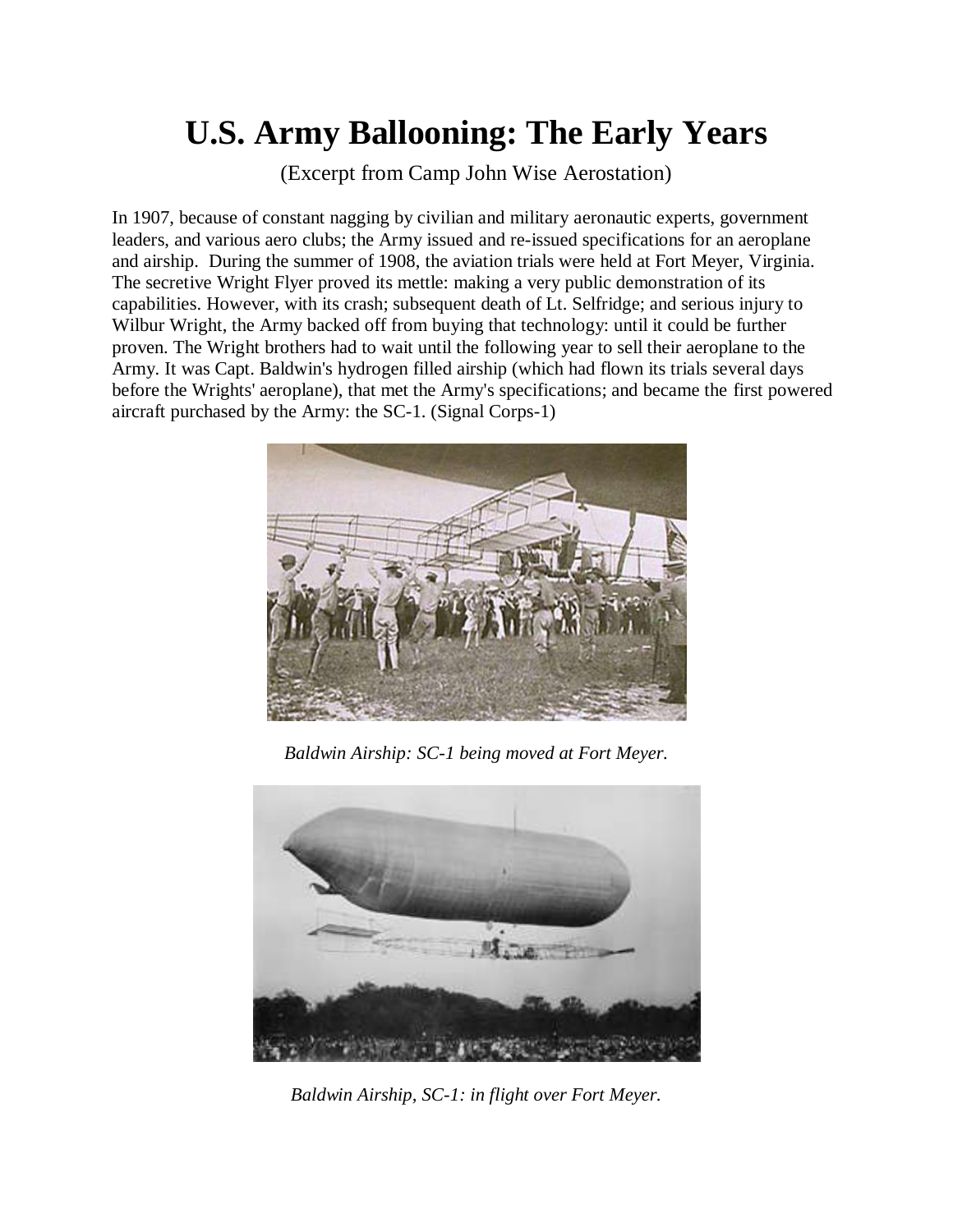## **U.S. Army Ballooning: The Early Years**

(Excerpt from Camp John Wise Aerostation)

In 1907, because of constant nagging by civilian and military aeronautic experts, government leaders, and various aero clubs; the Army issued and re-issued specifications for an aeroplane and airship. During the summer of 1908, the aviation trials were held at Fort Meyer, Virginia. The secretive Wright Flyer proved its mettle: making a very public demonstration of its capabilities. However, with its crash; subsequent death of Lt. Selfridge; and serious injury to Wilbur Wright, the Army backed off from buying that technology: until it could be further proven. The Wright brothers had to wait until the following year to sell their aeroplane to the Army. It was Capt. Baldwin's hydrogen filled airship (which had flown its trials several days before the Wrights' aeroplane), that met the Army's specifications; and became the first powered aircraft purchased by the Army: the SC-1. (Signal Corps-1)



*Baldwin Airship: SC-1 being moved at Fort Meyer.*



*Baldwin Airship, SC-1: in flight over Fort Meyer.*